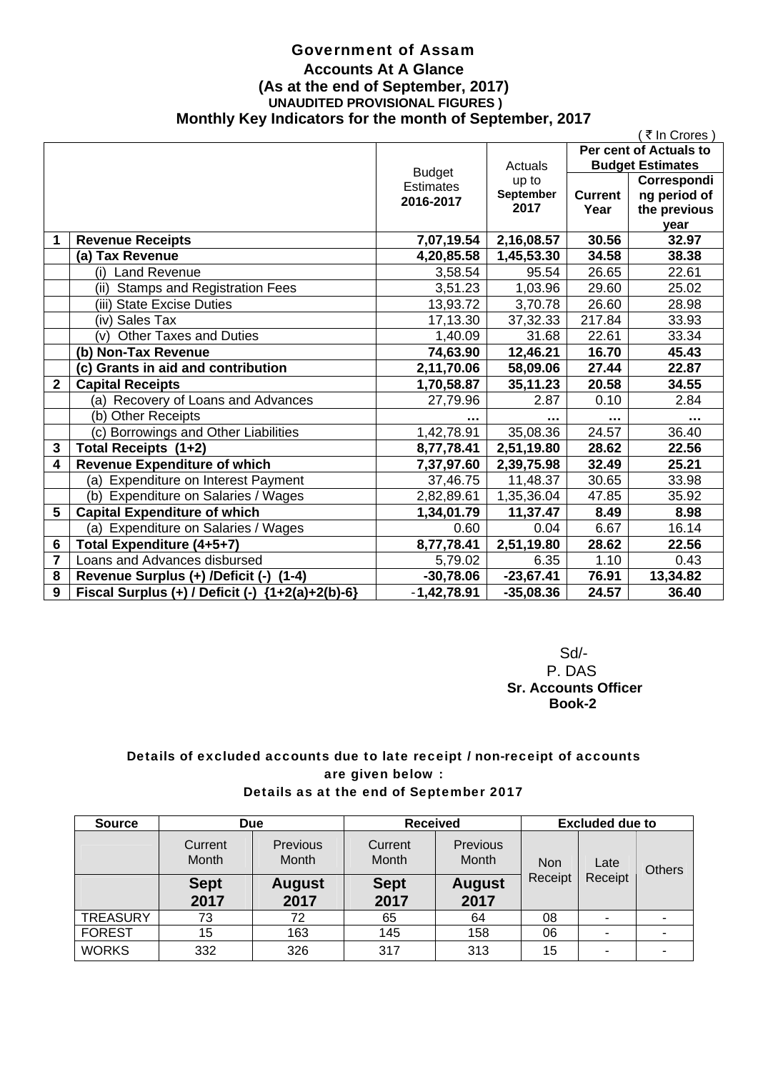## Government of Assam **Accounts At A Glance (As at the end of September, 2017) UNAUDITED PROVISIONAL FIGURES ) Monthly Key Indicators for the month of September, 2017**

|                | ₹ In Crores                                        |                  |                   |                      |                         |
|----------------|----------------------------------------------------|------------------|-------------------|----------------------|-------------------------|
|                |                                                    |                  |                   |                      | Per cent of Actuals to  |
|                |                                                    | <b>Budget</b>    | Actuals           |                      | <b>Budget Estimates</b> |
|                |                                                    | <b>Estimates</b> | up to             |                      | Correspondi             |
|                |                                                    | 2016-2017        | September<br>2017 | <b>Current</b>       | ng period of            |
|                |                                                    |                  |                   | Year                 | the previous            |
| 1              |                                                    |                  |                   | 30.56                | year<br>32.97           |
|                | <b>Revenue Receipts</b>                            | 7,07,19.54       | 2,16,08.57        |                      |                         |
|                | (a) Tax Revenue                                    | 4,20,85.58       | 1,45,53.30        | 34.58                | 38.38                   |
|                | (i) Land Revenue                                   | 3,58.54          | 95.54             | 26.65                | 22.61                   |
|                | <b>Stamps and Registration Fees</b><br>(ii)        | 3,51.23          | 1,03.96           | 29.60                | 25.02                   |
|                | (iii) State Excise Duties                          | 13,93.72         | 3,70.78           | 26.60                | 28.98                   |
|                | (iv) Sales Tax                                     | 17,13.30         | 37,32.33          | 217.84               | 33.93                   |
|                | <b>Other Taxes and Duties</b><br>(v)               | 1,40.09          | 31.68             | 22.61                | 33.34                   |
|                | (b) Non-Tax Revenue                                | 74,63.90         | 12,46.21          | 16.70                | 45.43                   |
|                | (c) Grants in aid and contribution                 | 2,11,70.06       | 58,09.06          | 27.44                | 22.87                   |
| 2              | <b>Capital Receipts</b>                            | 1,70,58.87       | 35,11.23          | 20.58                | 34.55                   |
|                | (a) Recovery of Loans and Advances                 | 27,79.96         | 2.87              | 0.10                 | 2.84                    |
|                | (b) Other Receipts                                 | .                | $\cdots$          | $\sim$ $\sim$ $\sim$ | $\cdots$                |
|                | (c) Borrowings and Other Liabilities               | 1,42,78.91       | 35,08.36          | 24.57                | 36.40                   |
| 3              | Total Receipts (1+2)                               | 8,77,78.41       | 2,51,19.80        | 28.62                | 22.56                   |
| 4              | <b>Revenue Expenditure of which</b>                | 7,37,97.60       | 2,39,75.98        | 32.49                | 25.21                   |
|                | (a) Expenditure on Interest Payment                | 37,46.75         | 11,48.37          | 30.65                | 33.98                   |
|                | Expenditure on Salaries / Wages<br>(b)             | 2,82,89.61       | 1,35,36.04        | 47.85                | 35.92                   |
| 5              | <b>Capital Expenditure of which</b>                | 1,34,01.79       | 11,37.47          | 8.49                 | 8.98                    |
|                | (a) Expenditure on Salaries / Wages                | 0.60             | 0.04              | 6.67                 | 16.14                   |
| 6              | Total Expenditure (4+5+7)                          | 8,77,78.41       | 2,51,19.80        | 28.62                | 22.56                   |
| $\overline{7}$ | Loans and Advances disbursed                       | 5,79.02          | 6.35              | 1.10                 | 0.43                    |
| 8              | Revenue Surplus (+) /Deficit (-)<br>$(1-4)$        | $-30,78.06$      | $-23,67.41$       | 76.91                | 13,34.82                |
| 9              | Fiscal Surplus (+) / Deficit (-) ${1+2(a)+2(b)-6}$ | $-1,42,78.91$    | $-35,08.36$       | 24.57                | 36.40                   |

 Sd/- P. DAS  **Sr. Accounts Officer Book-2** 

## Details of excluded accounts due to late receipt / non-receipt of accounts are given below : Details as at the end of September 2017

| <b>Source</b>   | <b>Due</b>          |                          | <b>Received</b>     |                       | <b>Excluded due to</b>                   |               |   |
|-----------------|---------------------|--------------------------|---------------------|-----------------------|------------------------------------------|---------------|---|
|                 | Current<br>Month    | Previous<br><b>Month</b> | Current<br>Month    | Previous<br>Month     | <b>Non</b><br>Late<br>Receipt<br>Receipt | <b>Others</b> |   |
|                 | <b>Sept</b><br>2017 | <b>August</b><br>2017    | <b>Sept</b><br>2017 | <b>August</b><br>2017 |                                          |               |   |
| <b>TREASURY</b> | 73                  | 72                       | 65                  | 64                    | 08                                       | ۰             | ۰ |
| <b>FOREST</b>   | 15                  | 163                      | 145                 | 158                   | 06                                       | ٠             | ۰ |
| <b>WORKS</b>    | 332                 | 326                      | 317                 | 313                   | 15                                       | ۰             |   |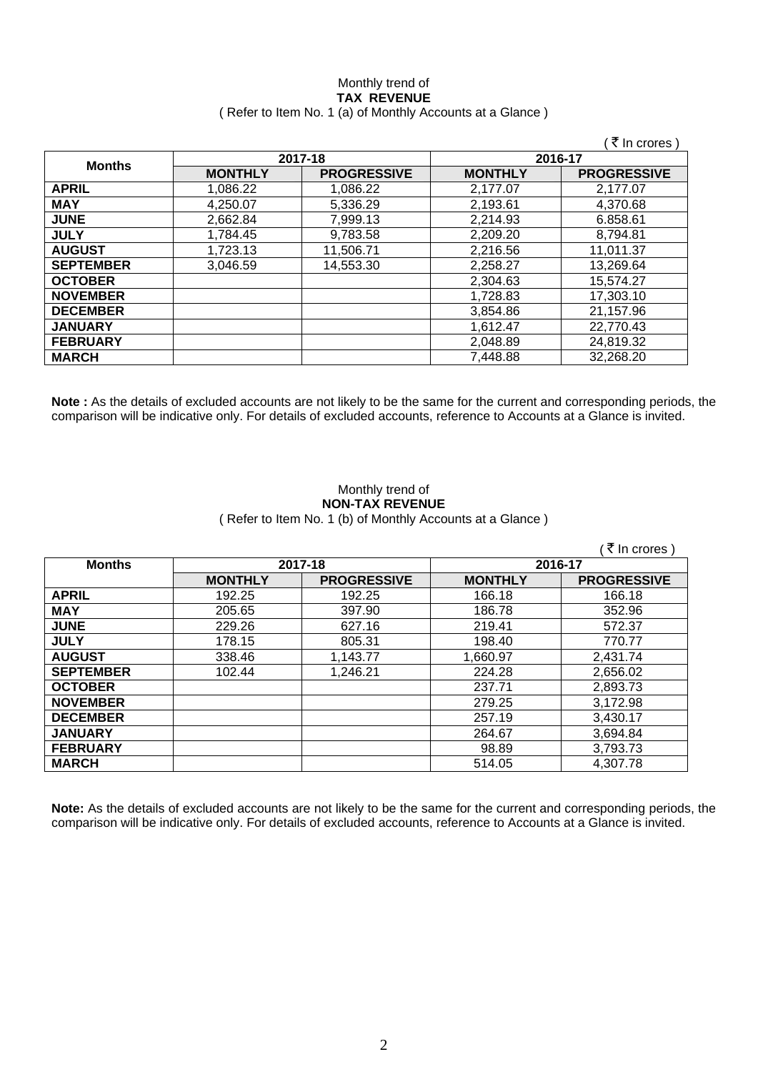## Monthly trend of **TAX REVENUE**  ( Refer to Item No. 1 (a) of Monthly Accounts at a Glance )

|                  |                |                    |                | ∶₹ In crores `     |
|------------------|----------------|--------------------|----------------|--------------------|
|                  | 2017-18        |                    | 2016-17        |                    |
| <b>Months</b>    | <b>MONTHLY</b> | <b>PROGRESSIVE</b> | <b>MONTHLY</b> | <b>PROGRESSIVE</b> |
| <b>APRIL</b>     | 1.086.22       | 1.086.22           | 2,177.07       | 2.177.07           |
| <b>MAY</b>       | 4.250.07       | 5,336.29           | 2,193.61       | 4,370.68           |
| <b>JUNE</b>      | 2.662.84       | 7,999.13           | 2,214.93       | 6.858.61           |
| <b>JULY</b>      | 1.784.45       | 9,783.58           | 2,209.20       | 8.794.81           |
| <b>AUGUST</b>    | 1,723.13       | 11,506.71          | 2,216.56       | 11,011.37          |
| <b>SEPTEMBER</b> | 3,046.59       | 14,553.30          | 2,258.27       | 13,269.64          |
| <b>OCTOBER</b>   |                |                    | 2,304.63       | 15,574.27          |
| <b>NOVEMBER</b>  |                |                    | 1,728.83       | 17,303.10          |
| <b>DECEMBER</b>  |                |                    | 3,854.86       | 21,157.96          |
| <b>JANUARY</b>   |                |                    | 1,612.47       | 22,770.43          |
| <b>FEBRUARY</b>  |                |                    | 2,048.89       | 24,819.32          |
| <b>MARCH</b>     |                |                    | 7,448.88       | 32,268.20          |

**Note :** As the details of excluded accounts are not likely to be the same for the current and corresponding periods, the comparison will be indicative only. For details of excluded accounts, reference to Accounts at a Glance is invited.

### Monthly trend of **NON-TAX REVENUE**  ( Refer to Item No. 1 (b) of Monthly Accounts at a Glance )

|                  |                |                    |                | ∶₹ In crores )     |
|------------------|----------------|--------------------|----------------|--------------------|
| <b>Months</b>    | 2017-18        |                    | 2016-17        |                    |
|                  | <b>MONTHLY</b> | <b>PROGRESSIVE</b> | <b>MONTHLY</b> | <b>PROGRESSIVE</b> |
| <b>APRIL</b>     | 192.25         | 192.25             | 166.18         | 166.18             |
| <b>MAY</b>       | 205.65         | 397.90             | 186.78         | 352.96             |
| <b>JUNE</b>      | 229.26         | 627.16             | 219.41         | 572.37             |
| <b>JULY</b>      | 178.15         | 805.31             | 198.40         | 770.77             |
| <b>AUGUST</b>    | 338.46         | 1,143.77           | 1,660.97       | 2,431.74           |
| <b>SEPTEMBER</b> | 102.44         | 1,246.21           | 224.28         | 2,656.02           |
| <b>OCTOBER</b>   |                |                    | 237.71         | 2,893.73           |
| <b>NOVEMBER</b>  |                |                    | 279.25         | 3,172.98           |
| <b>DECEMBER</b>  |                |                    | 257.19         | 3,430.17           |
| <b>JANUARY</b>   |                |                    | 264.67         | 3,694.84           |
| <b>FEBRUARY</b>  |                |                    | 98.89          | 3,793.73           |
| <b>MARCH</b>     |                |                    | 514.05         | 4,307.78           |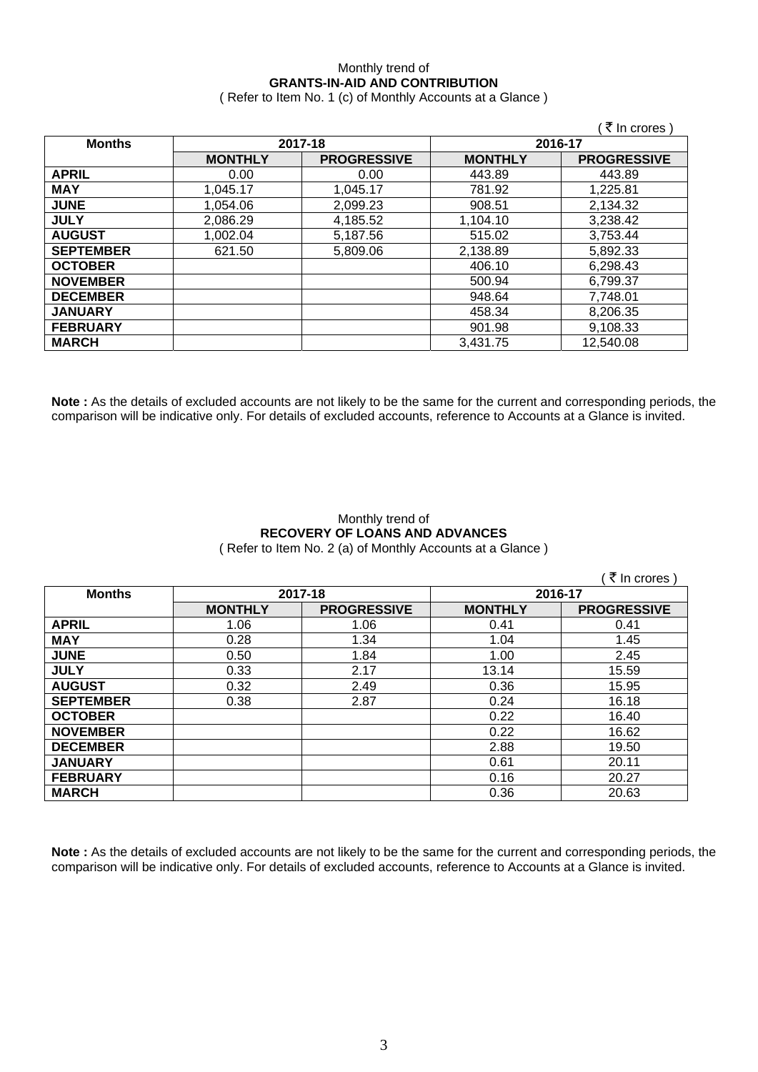## Monthly trend of **GRANTS-IN-AID AND CONTRIBUTION**

( Refer to Item No. 1 (c) of Monthly Accounts at a Glance )

|                  |                |                    |                | ं ₹ In crores )    |
|------------------|----------------|--------------------|----------------|--------------------|
| <b>Months</b>    | 2017-18        |                    |                | 2016-17            |
|                  | <b>MONTHLY</b> | <b>PROGRESSIVE</b> | <b>MONTHLY</b> | <b>PROGRESSIVE</b> |
| <b>APRIL</b>     | 0.00           | 0.00               | 443.89         | 443.89             |
| <b>MAY</b>       | 1,045.17       | 1,045.17           | 781.92         | 1,225.81           |
| <b>JUNE</b>      | 1,054.06       | 2,099.23           | 908.51         | 2,134.32           |
| <b>JULY</b>      | 2.086.29       | 4,185.52           | 1,104.10       | 3,238.42           |
| <b>AUGUST</b>    | 1,002.04       | 5,187.56           | 515.02         | 3,753.44           |
| <b>SEPTEMBER</b> | 621.50         | 5,809.06           | 2,138.89       | 5,892.33           |
| <b>OCTOBER</b>   |                |                    | 406.10         | 6,298.43           |
| <b>NOVEMBER</b>  |                |                    | 500.94         | 6,799.37           |
| <b>DECEMBER</b>  |                |                    | 948.64         | 7,748.01           |
| <b>JANUARY</b>   |                |                    | 458.34         | 8,206.35           |
| <b>FEBRUARY</b>  |                |                    | 901.98         | 9,108.33           |
| <b>MARCH</b>     |                |                    | 3,431.75       | 12,540.08          |

**Note :** As the details of excluded accounts are not likely to be the same for the current and corresponding periods, the comparison will be indicative only. For details of excluded accounts, reference to Accounts at a Glance is invited.

## Monthly trend of **RECOVERY OF LOANS AND ADVANCES**  ( Refer to Item No. 2 (a) of Monthly Accounts at a Glance )

|                  |                |                    |                | ₹ In crores        |
|------------------|----------------|--------------------|----------------|--------------------|
| <b>Months</b>    | 2017-18        |                    | 2016-17        |                    |
|                  | <b>MONTHLY</b> | <b>PROGRESSIVE</b> | <b>MONTHLY</b> | <b>PROGRESSIVE</b> |
| <b>APRIL</b>     | 1.06           | 1.06               | 0.41           | 0.41               |
| <b>MAY</b>       | 0.28           | 1.34               | 1.04           | 1.45               |
| <b>JUNE</b>      | 0.50           | 1.84               | 1.00           | 2.45               |
| <b>JULY</b>      | 0.33           | 2.17               | 13.14          | 15.59              |
| <b>AUGUST</b>    | 0.32           | 2.49               | 0.36           | 15.95              |
| <b>SEPTEMBER</b> | 0.38           | 2.87               | 0.24           | 16.18              |
| <b>OCTOBER</b>   |                |                    | 0.22           | 16.40              |
| <b>NOVEMBER</b>  |                |                    | 0.22           | 16.62              |
| <b>DECEMBER</b>  |                |                    | 2.88           | 19.50              |
| <b>JANUARY</b>   |                |                    | 0.61           | 20.11              |
| <b>FEBRUARY</b>  |                |                    | 0.16           | 20.27              |
| <b>MARCH</b>     |                |                    | 0.36           | 20.63              |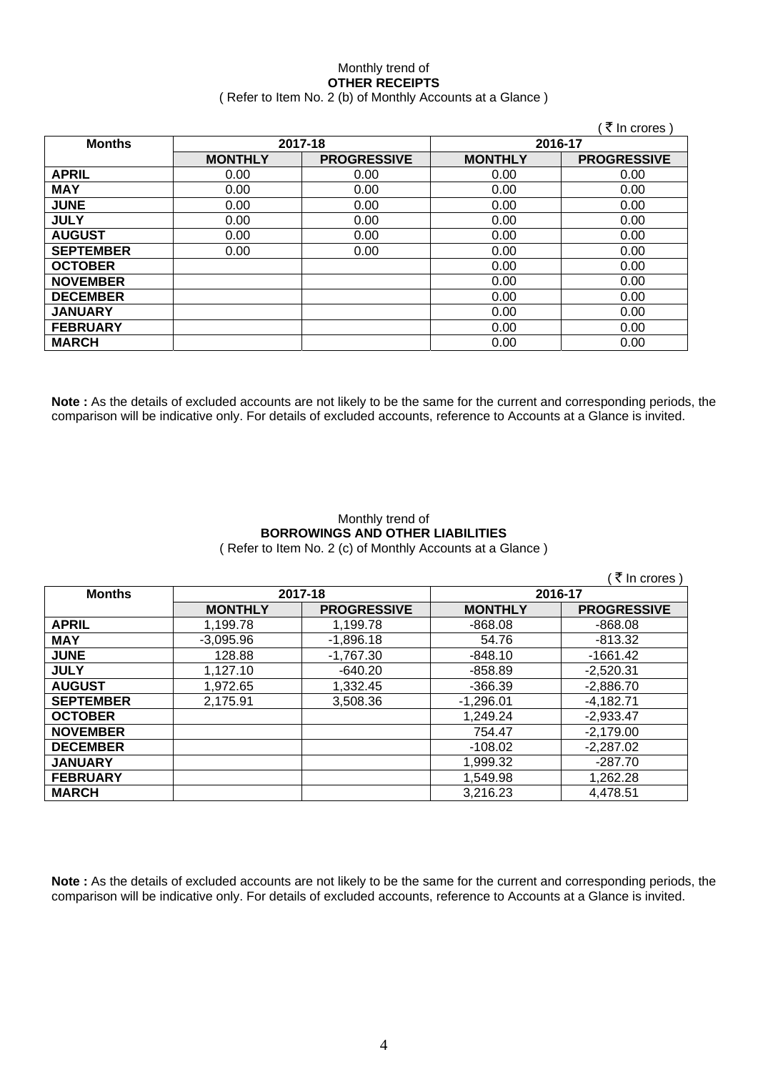## Monthly trend of **OTHER RECEIPTS**  ( Refer to Item No. 2 (b) of Monthly Accounts at a Glance )

|                  |                |                    |                | ∶ ₹ In crores)     |
|------------------|----------------|--------------------|----------------|--------------------|
| <b>Months</b>    | 2017-18        |                    | 2016-17        |                    |
|                  | <b>MONTHLY</b> | <b>PROGRESSIVE</b> | <b>MONTHLY</b> | <b>PROGRESSIVE</b> |
| <b>APRIL</b>     | 0.00           | 0.00               | 0.00           | 0.00               |
| <b>MAY</b>       | 0.00           | 0.00               | 0.00           | 0.00               |
| <b>JUNE</b>      | 0.00           | 0.00               | 0.00           | 0.00               |
| <b>JULY</b>      | 0.00           | 0.00               | 0.00           | 0.00               |
| <b>AUGUST</b>    | 0.00           | 0.00               | 0.00           | 0.00               |
| <b>SEPTEMBER</b> | 0.00           | 0.00               | 0.00           | 0.00               |
| <b>OCTOBER</b>   |                |                    | 0.00           | 0.00               |
| <b>NOVEMBER</b>  |                |                    | 0.00           | 0.00               |
| <b>DECEMBER</b>  |                |                    | 0.00           | 0.00               |
| <b>JANUARY</b>   |                |                    | 0.00           | 0.00               |
| <b>FEBRUARY</b>  |                |                    | 0.00           | 0.00               |
| <b>MARCH</b>     |                |                    | 0.00           | 0.00               |

**Note :** As the details of excluded accounts are not likely to be the same for the current and corresponding periods, the comparison will be indicative only. For details of excluded accounts, reference to Accounts at a Glance is invited.

## Monthly trend of **BORROWINGS AND OTHER LIABILITIES**  ( Refer to Item No. 2 (c) of Monthly Accounts at a Glance )

|                  |                |                    |                | ∶₹ In crores )     |
|------------------|----------------|--------------------|----------------|--------------------|
| <b>Months</b>    | 2017-18        |                    |                | 2016-17            |
|                  | <b>MONTHLY</b> | <b>PROGRESSIVE</b> | <b>MONTHLY</b> | <b>PROGRESSIVE</b> |
| <b>APRIL</b>     | 1,199.78       | 1,199.78           | $-868.08$      | $-868.08$          |
| <b>MAY</b>       | $-3,095.96$    | $-1,896.18$        | 54.76          | $-813.32$          |
| <b>JUNE</b>      | 128.88         | $-1,767.30$        | $-848.10$      | $-1661.42$         |
| <b>JULY</b>      | 1,127.10       | $-640.20$          | $-858.89$      | $-2,520.31$        |
| <b>AUGUST</b>    | 1,972.65       | 1,332.45           | $-366.39$      | $-2,886.70$        |
| <b>SEPTEMBER</b> | 2,175.91       | 3,508.36           | $-1,296.01$    | $-4,182.71$        |
| <b>OCTOBER</b>   |                |                    | 1,249.24       | $-2,933.47$        |
| <b>NOVEMBER</b>  |                |                    | 754.47         | $-2,179.00$        |
| <b>DECEMBER</b>  |                |                    | $-108.02$      | $-2,287.02$        |
| <b>JANUARY</b>   |                |                    | 1,999.32       | $-287.70$          |
| <b>FEBRUARY</b>  |                |                    | 1,549.98       | 1,262.28           |
| <b>MARCH</b>     |                |                    | 3,216.23       | 4,478.51           |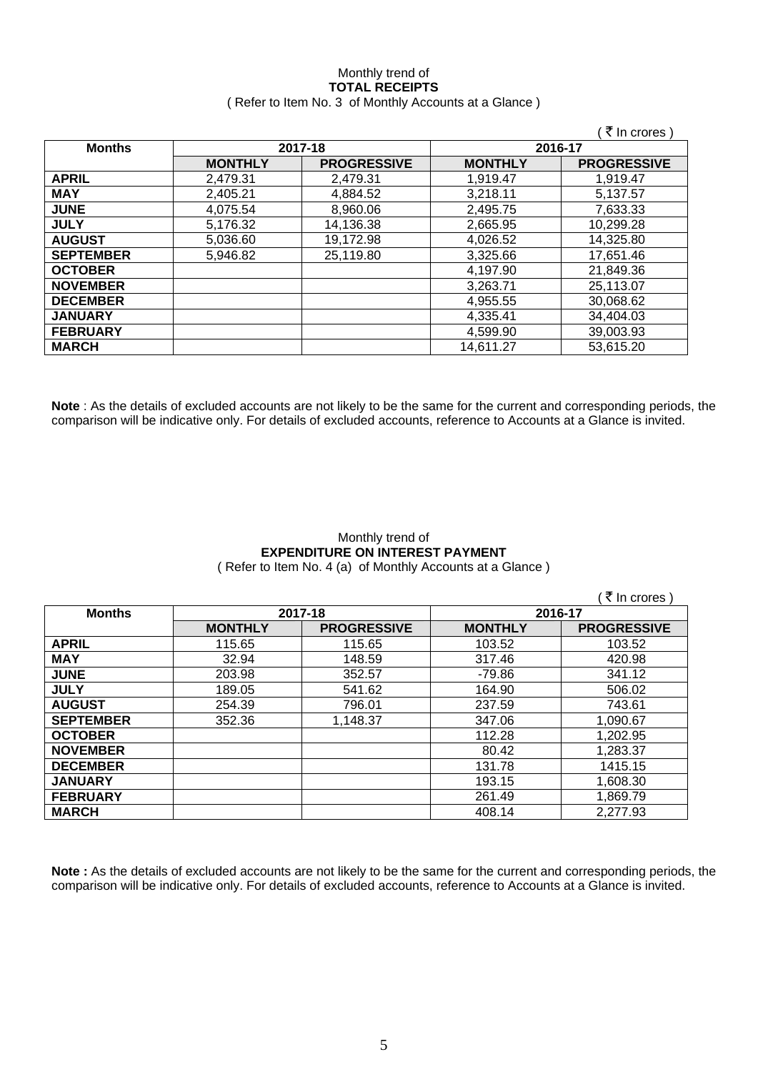## Monthly trend of **TOTAL RECEIPTS**

## ( Refer to Item No. 3 of Monthly Accounts at a Glance )

|                  |                |                    |                | ₹ In crores)       |
|------------------|----------------|--------------------|----------------|--------------------|
| <b>Months</b>    | 2017-18        |                    | 2016-17        |                    |
|                  | <b>MONTHLY</b> | <b>PROGRESSIVE</b> | <b>MONTHLY</b> | <b>PROGRESSIVE</b> |
| <b>APRIL</b>     | 2,479.31       | 2,479.31           | 1,919.47       | 1,919.47           |
| <b>MAY</b>       | 2,405.21       | 4,884.52           | 3,218.11       | 5,137.57           |
| <b>JUNE</b>      | 4,075.54       | 8,960.06           | 2,495.75       | 7,633.33           |
| <b>JULY</b>      | 5,176.32       | 14,136.38          | 2,665.95       | 10,299.28          |
| <b>AUGUST</b>    | 5,036.60       | 19,172.98          | 4,026.52       | 14,325.80          |
| <b>SEPTEMBER</b> | 5,946.82       | 25,119.80          | 3,325.66       | 17,651.46          |
| <b>OCTOBER</b>   |                |                    | 4,197.90       | 21,849.36          |
| <b>NOVEMBER</b>  |                |                    | 3,263.71       | 25,113.07          |
| <b>DECEMBER</b>  |                |                    | 4,955.55       | 30,068.62          |
| <b>JANUARY</b>   |                |                    | 4,335.41       | 34,404.03          |
| <b>FEBRUARY</b>  |                |                    | 4,599.90       | 39,003.93          |
| <b>MARCH</b>     |                |                    | 14,611.27      | 53,615.20          |

**Note** : As the details of excluded accounts are not likely to be the same for the current and corresponding periods, the comparison will be indicative only. For details of excluded accounts, reference to Accounts at a Glance is invited.

## Monthly trend of **EXPENDITURE ON INTEREST PAYMENT**  ( Refer to Item No. 4 (a) of Monthly Accounts at a Glance )

|                  |                |                    |                | ∶₹ In crores )     |
|------------------|----------------|--------------------|----------------|--------------------|
| <b>Months</b>    |                | 2017-18            | 2016-17        |                    |
|                  | <b>MONTHLY</b> | <b>PROGRESSIVE</b> | <b>MONTHLY</b> | <b>PROGRESSIVE</b> |
| <b>APRIL</b>     | 115.65         | 115.65             | 103.52         | 103.52             |
| <b>MAY</b>       | 32.94          | 148.59             | 317.46         | 420.98             |
| <b>JUNE</b>      | 203.98         | 352.57             | -79.86         | 341.12             |
| <b>JULY</b>      | 189.05         | 541.62             | 164.90         | 506.02             |
| <b>AUGUST</b>    | 254.39         | 796.01             | 237.59         | 743.61             |
| <b>SEPTEMBER</b> | 352.36         | 1,148.37           | 347.06         | 1,090.67           |
| <b>OCTOBER</b>   |                |                    | 112.28         | 1,202.95           |
| <b>NOVEMBER</b>  |                |                    | 80.42          | 1,283.37           |
| <b>DECEMBER</b>  |                |                    | 131.78         | 1415.15            |
| <b>JANUARY</b>   |                |                    | 193.15         | 1.608.30           |
| <b>FEBRUARY</b>  |                |                    | 261.49         | 1,869.79           |
| <b>MARCH</b>     |                |                    | 408.14         | 2,277.93           |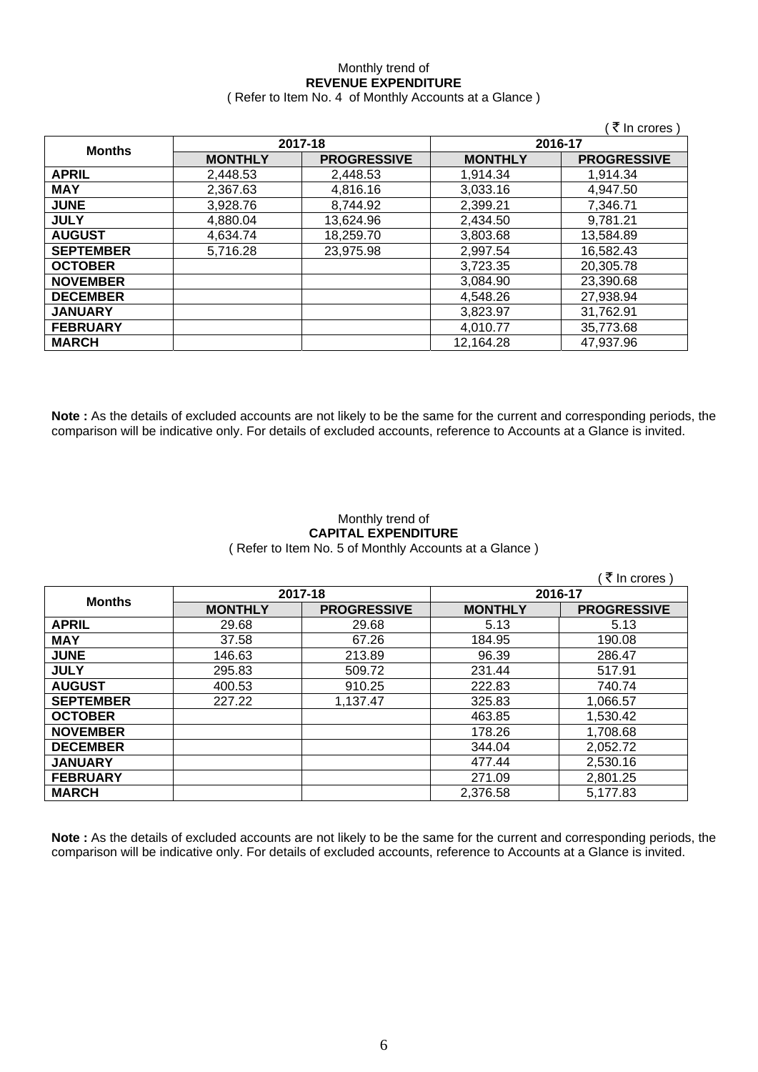# Monthly trend of **REVENUE EXPENDITURE**

|  | (Refer to Item No. 4 of Monthly Accounts at a Glance) |
|--|-------------------------------------------------------|
|--|-------------------------------------------------------|

|                  |                |                    |                | (₹ In crores)      |
|------------------|----------------|--------------------|----------------|--------------------|
|                  | 2017-18        |                    |                | 2016-17            |
| <b>Months</b>    | <b>MONTHLY</b> | <b>PROGRESSIVE</b> | <b>MONTHLY</b> | <b>PROGRESSIVE</b> |
| <b>APRIL</b>     | 2,448.53       | 2,448.53           | 1.914.34       | 1,914.34           |
| <b>MAY</b>       | 2,367.63       | 4,816.16           | 3,033.16       | 4,947.50           |
| <b>JUNE</b>      | 3,928.76       | 8.744.92           | 2,399.21       | 7,346.71           |
| <b>JULY</b>      | 4,880.04       | 13,624.96          | 2,434.50       | 9,781.21           |
| <b>AUGUST</b>    | 4,634.74       | 18,259.70          | 3,803.68       | 13,584.89          |
| <b>SEPTEMBER</b> | 5,716.28       | 23,975.98          | 2,997.54       | 16,582.43          |
| <b>OCTOBER</b>   |                |                    | 3,723.35       | 20,305.78          |
| <b>NOVEMBER</b>  |                |                    | 3.084.90       | 23,390.68          |
| <b>DECEMBER</b>  |                |                    | 4,548.26       | 27,938.94          |
| <b>JANUARY</b>   |                |                    | 3,823.97       | 31,762.91          |
| <b>FEBRUARY</b>  |                |                    | 4,010.77       | 35,773.68          |
| <b>MARCH</b>     |                |                    | 12,164.28      | 47,937.96          |

**Note :** As the details of excluded accounts are not likely to be the same for the current and corresponding periods, the comparison will be indicative only. For details of excluded accounts, reference to Accounts at a Glance is invited.

## Monthly trend of **CAPITAL EXPENDITURE**  ( Refer to Item No. 5 of Monthly Accounts at a Glance )

|                  |                |                    |                | ্ <i>ই</i> In crores ) |
|------------------|----------------|--------------------|----------------|------------------------|
| <b>Months</b>    | 2017-18        |                    | 2016-17        |                        |
|                  | <b>MONTHLY</b> | <b>PROGRESSIVE</b> | <b>MONTHLY</b> | <b>PROGRESSIVE</b>     |
| <b>APRIL</b>     | 29.68          | 29.68              | 5.13           | 5.13                   |
| <b>MAY</b>       | 37.58          | 67.26              | 184.95         | 190.08                 |
| <b>JUNE</b>      | 146.63         | 213.89             | 96.39          | 286.47                 |
| <b>JULY</b>      | 295.83         | 509.72             | 231.44         | 517.91                 |
| <b>AUGUST</b>    | 400.53         | 910.25             | 222.83         | 740.74                 |
| <b>SEPTEMBER</b> | 227.22         | 1.137.47           | 325.83         | 1,066.57               |
| <b>OCTOBER</b>   |                |                    | 463.85         | 1,530.42               |
| <b>NOVEMBER</b>  |                |                    | 178.26         | 1,708.68               |
| <b>DECEMBER</b>  |                |                    | 344.04         | 2,052.72               |
| <b>JANUARY</b>   |                |                    | 477.44         | 2,530.16               |
| <b>FEBRUARY</b>  |                |                    | 271.09         | 2,801.25               |
| <b>MARCH</b>     |                |                    | 2,376.58       | 5,177.83               |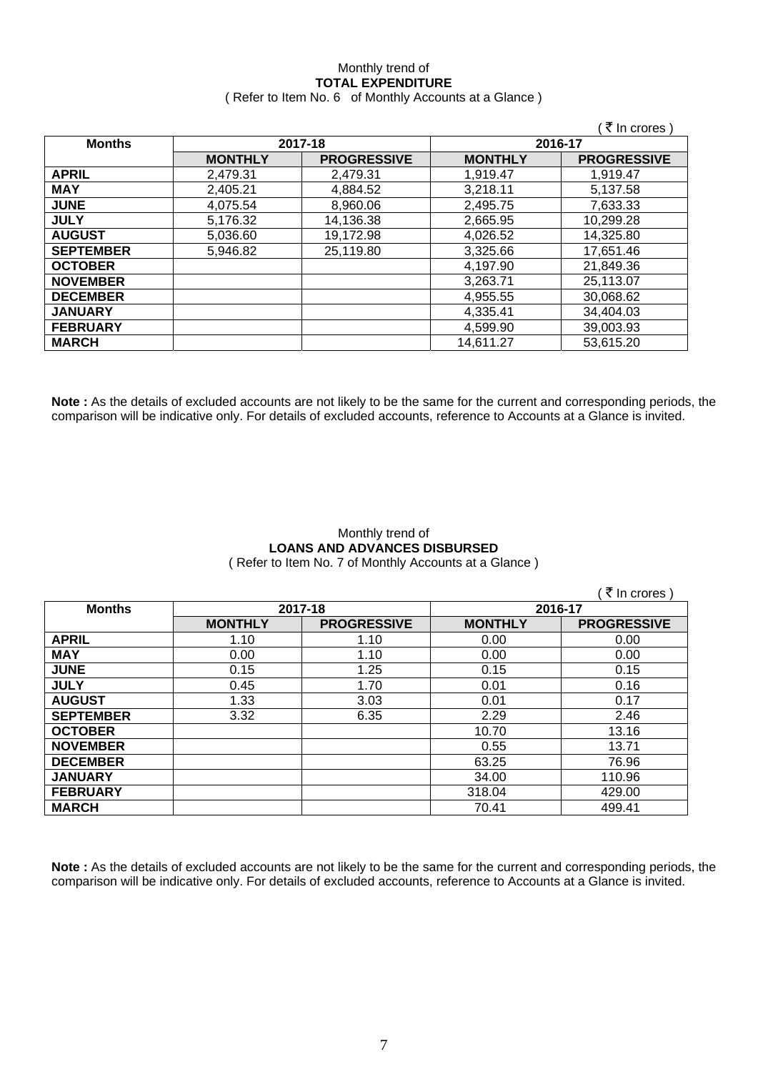# Monthly trend of **TOTAL EXPENDITURE**

|  | (Refer to Item No. 6 of Monthly Accounts at a Glance) |
|--|-------------------------------------------------------|
|--|-------------------------------------------------------|

|                  |                |                    |                | ∶₹ In crores )     |
|------------------|----------------|--------------------|----------------|--------------------|
| <b>Months</b>    | 2017-18        |                    | 2016-17        |                    |
|                  | <b>MONTHLY</b> | <b>PROGRESSIVE</b> | <b>MONTHLY</b> | <b>PROGRESSIVE</b> |
| <b>APRIL</b>     | 2,479.31       | 2.479.31           | 1,919.47       | 1,919.47           |
| <b>MAY</b>       | 2,405.21       | 4,884.52           | 3,218.11       | 5,137.58           |
| <b>JUNE</b>      | 4,075.54       | 8,960.06           | 2,495.75       | 7,633.33           |
| <b>JULY</b>      | 5,176.32       | 14,136.38          | 2,665.95       | 10,299.28          |
| <b>AUGUST</b>    | 5,036.60       | 19,172.98          | 4,026.52       | 14,325.80          |
| <b>SEPTEMBER</b> | 5,946.82       | 25,119.80          | 3,325.66       | 17,651.46          |
| <b>OCTOBER</b>   |                |                    | 4,197.90       | 21,849.36          |
| <b>NOVEMBER</b>  |                |                    | 3,263.71       | 25,113.07          |
| <b>DECEMBER</b>  |                |                    | 4,955.55       | 30,068.62          |
| <b>JANUARY</b>   |                |                    | 4,335.41       | 34,404.03          |
| <b>FEBRUARY</b>  |                |                    | 4,599.90       | 39,003.93          |
| <b>MARCH</b>     |                |                    | 14,611.27      | 53,615.20          |

**Note :** As the details of excluded accounts are not likely to be the same for the current and corresponding periods, the comparison will be indicative only. For details of excluded accounts, reference to Accounts at a Glance is invited.

#### Monthly trend of **LOANS AND ADVANCES DISBURSED**  ( Refer to Item No. 7 of Monthly Accounts at a Glance )

( $\bar{\tau}$  In crores) **Months 2017-18 2016-17 MONTHLY PROGRESSIVE MONTHLY PROGRESSIVE APRIL** 1.10 1.10 0.00 0.00 **MAY** 0.00 1.10 0.00 0.00 **JUNE** 0.15 1.25 0.15 0.15 **JULY** 0.45 1.70 0.01 0.16 **AUGUST** 1.33 3.03 0.01 0.17 **SEPTEMBER** 3.32 6.35 2.29 2.46 **OCTOBER** | 10.70 | 13.16 **NOVEMBER** | 13.71 **DECEMBER** 63.25 76.96 **JANUARY** 34.00 110.96 **FEBRUARY** 429.00 **MARCH** 70.41 499.41